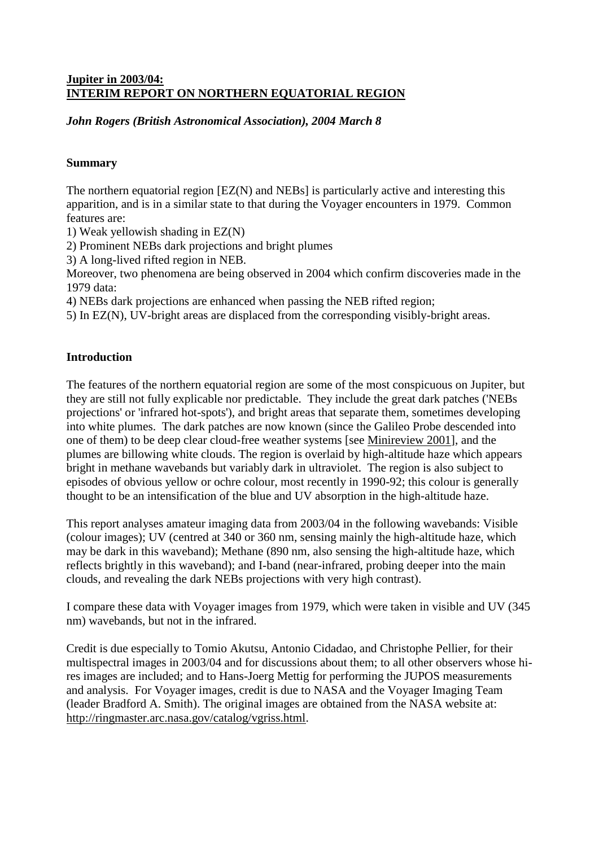### **Jupiter in 2003/04: INTERIM REPORT ON NORTHERN EQUATORIAL REGION**

*John Rogers (British Astronomical Association), 2004 March 8*

### **Summary**

The northern equatorial region [EZ(N) and NEBs] is particularly active and interesting this apparition, and is in a similar state to that during the Voyager encounters in 1979. Common features are:

1) Weak yellowish shading in EZ(N)

2) Prominent NEBs dark projections and bright plumes

3) A long-lived rifted region in NEB.

Moreover, two phenomena are being observed in 2004 which confirm discoveries made in the 1979 data:

4) NEBs dark projections are enhanced when passing the NEB rifted region;

5) In EZ(N), UV-bright areas are displaced from the corresponding visibly-bright areas.

### **Introduction**

The features of the northern equatorial region are some of the most conspicuous on Jupiter, but they are still not fully explicable nor predictable. They include the great dark patches ('NEBs projections' or 'infrared hot-spots'), and bright areas that separate them, sometimes developing into white plumes. The dark patches are now known (since the Galileo Probe descended into one of them) to be deep clear cloud-free weather systems [see Minireview 2001], and the plumes are billowing white clouds. The region is overlaid by high-altitude haze which appears bright in methane wavebands but variably dark in ultraviolet. The region is also subject to episodes of obvious yellow or ochre colour, most recently in 1990-92; this colour is generally thought to be an intensification of the blue and UV absorption in the high-altitude haze.

This report analyses amateur imaging data from 2003/04 in the following wavebands: Visible (colour images); UV (centred at 340 or 360 nm, sensing mainly the high-altitude haze, which may be dark in this waveband); Methane (890 nm, also sensing the high-altitude haze, which reflects brightly in this waveband); and I-band (near-infrared, probing deeper into the main clouds, and revealing the dark NEBs projections with very high contrast).

I compare these data with Voyager images from 1979, which were taken in visible and UV (345 nm) wavebands, but not in the infrared.

Credit is due especially to Tomio Akutsu, Antonio Cidadao, and Christophe Pellier, for their multispectral images in 2003/04 and for discussions about them; to all other observers whose hires images are included; and to Hans-Joerg Mettig for performing the JUPOS measurements and analysis. For Voyager images, credit is due to NASA and the Voyager Imaging Team (leader Bradford A. Smith). The original images are obtained from the NASA website at: http://ringmaster.arc.nasa.gov/catalog/vgriss.html.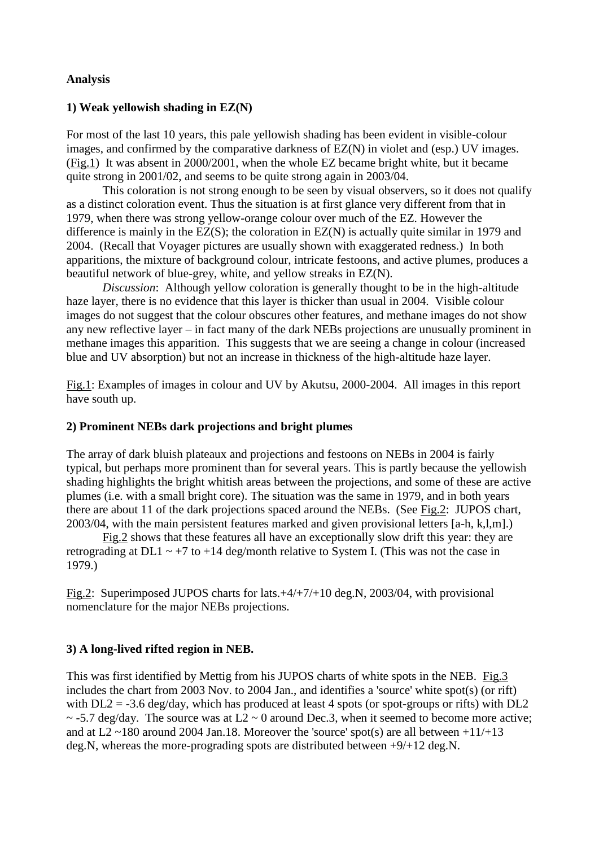### **Analysis**

## **1) Weak yellowish shading in EZ(N)**

For most of the last 10 years, this pale yellowish shading has been evident in visible-colour images, and confirmed by the comparative darkness of EZ(N) in violet and (esp.) UV images. (Fig.1) It was absent in 2000/2001, when the whole EZ became bright white, but it became quite strong in 2001/02, and seems to be quite strong again in 2003/04.

This coloration is not strong enough to be seen by visual observers, so it does not qualify as a distinct coloration event. Thus the situation is at first glance very different from that in 1979, when there was strong yellow-orange colour over much of the EZ. However the difference is mainly in the EZ(S); the coloration in EZ(N) is actually quite similar in 1979 and 2004. (Recall that Voyager pictures are usually shown with exaggerated redness.) In both apparitions, the mixture of background colour, intricate festoons, and active plumes, produces a beautiful network of blue-grey, white, and yellow streaks in EZ(N).

*Discussion*: Although yellow coloration is generally thought to be in the high-altitude haze layer, there is no evidence that this layer is thicker than usual in 2004. Visible colour images do not suggest that the colour obscures other features, and methane images do not show any new reflective layer – in fact many of the dark NEBs projections are unusually prominent in methane images this apparition. This suggests that we are seeing a change in colour (increased blue and UV absorption) but not an increase in thickness of the high-altitude haze layer.

Fig.1: Examples of images in colour and UV by Akutsu, 2000-2004. All images in this report have south up.

### **2) Prominent NEBs dark projections and bright plumes**

The array of dark bluish plateaux and projections and festoons on NEBs in 2004 is fairly typical, but perhaps more prominent than for several years. This is partly because the yellowish shading highlights the bright whitish areas between the projections, and some of these are active plumes (i.e. with a small bright core). The situation was the same in 1979, and in both years there are about 11 of the dark projections spaced around the NEBs. (See Fig.2: JUPOS chart, 2003/04, with the main persistent features marked and given provisional letters [a-h, k,l,m].)

Fig.2 shows that these features all have an exceptionally slow drift this year: they are retrograding at DL1  $\sim$  +7 to +14 deg/month relative to System I. (This was not the case in 1979.)

Fig.2: Superimposed JUPOS charts for lats.+4/+7/+10 deg.N, 2003/04, with provisional nomenclature for the major NEBs projections.

# **3) A long-lived rifted region in NEB.**

This was first identified by Mettig from his JUPOS charts of white spots in the NEB. Fig.3 includes the chart from 2003 Nov. to 2004 Jan., and identifies a 'source' white spot(s) (or rift) with  $DL2 = -3.6 \text{ deg/day}$ , which has produced at least 4 spots (or spot-groups or rifts) with  $DL2$  $\sim$  -5.7 deg/day. The source was at L2  $\sim$  0 around Dec.3, when it seemed to become more active; and at L2  $\sim$ 180 around 2004 Jan.18. Moreover the 'source' spot(s) are all between +11/+13 deg.N, whereas the more-prograding spots are distributed between +9/+12 deg.N.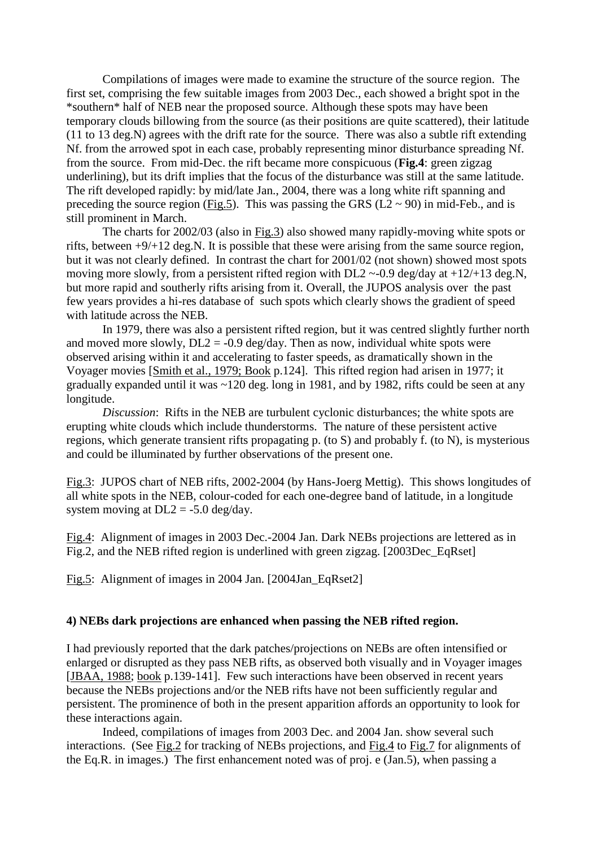Compilations of images were made to examine the structure of the source region. The first set, comprising the few suitable images from 2003 Dec., each showed a bright spot in the \*southern\* half of NEB near the proposed source. Although these spots may have been temporary clouds billowing from the source (as their positions are quite scattered), their latitude (11 to 13 deg.N) agrees with the drift rate for the source. There was also a subtle rift extending Nf. from the arrowed spot in each case, probably representing minor disturbance spreading Nf. from the source. From mid-Dec. the rift became more conspicuous (**Fig.4**: green zigzag underlining), but its drift implies that the focus of the disturbance was still at the same latitude. The rift developed rapidly: by mid/late Jan., 2004, there was a long white rift spanning and preceding the source region (Fig.5). This was passing the GRS ( $\overline{L2} \sim 90$ ) in mid-Feb., and is still prominent in March.

The charts for 2002/03 (also in Fig.3) also showed many rapidly-moving white spots or rifts, between +9/+12 deg.N. It is possible that these were arising from the same source region, but it was not clearly defined. In contrast the chart for 2001/02 (not shown) showed most spots moving more slowly, from a persistent rifted region with DL2 ~-0.9 deg/day at +12/+13 deg.N, but more rapid and southerly rifts arising from it. Overall, the JUPOS analysis over the past few years provides a hi-res database of such spots which clearly shows the gradient of speed with latitude across the NEB.

In 1979, there was also a persistent rifted region, but it was centred slightly further north and moved more slowly,  $DL2 = -0.9$  deg/day. Then as now, individual white spots were observed arising within it and accelerating to faster speeds, as dramatically shown in the Voyager movies [Smith et al., 1979; Book p.124]. This rifted region had arisen in 1977; it gradually expanded until it was ~120 deg. long in 1981, and by 1982, rifts could be seen at any longitude.

*Discussion*: Rifts in the NEB are turbulent cyclonic disturbances; the white spots are erupting white clouds which include thunderstorms. The nature of these persistent active regions, which generate transient rifts propagating p. (to S) and probably f. (to N), is mysterious and could be illuminated by further observations of the present one.

Fig.3: JUPOS chart of NEB rifts, 2002-2004 (by Hans-Joerg Mettig). This shows longitudes of all white spots in the NEB, colour-coded for each one-degree band of latitude, in a longitude system moving at  $DL2 = -5.0$  deg/day.

Fig.4: Alignment of images in 2003 Dec.-2004 Jan. Dark NEBs projections are lettered as in Fig.2, and the NEB rifted region is underlined with green zigzag. [2003Dec\_EqRset]

Fig.5: Alignment of images in 2004 Jan. [2004Jan\_EqRset2]

### **4) NEBs dark projections are enhanced when passing the NEB rifted region.**

I had previously reported that the dark patches/projections on NEBs are often intensified or enlarged or disrupted as they pass NEB rifts, as observed both visually and in Voyager images [JBAA, 1988; book p.139-141]. Few such interactions have been observed in recent years because the NEBs projections and/or the NEB rifts have not been sufficiently regular and persistent. The prominence of both in the present apparition affords an opportunity to look for these interactions again.

Indeed, compilations of images from 2003 Dec. and 2004 Jan. show several such interactions. (See Fig.2 for tracking of NEBs projections, and Fig.4 to Fig.7 for alignments of the Eq.R. in images.) The first enhancement noted was of proj. e (Jan.5), when passing a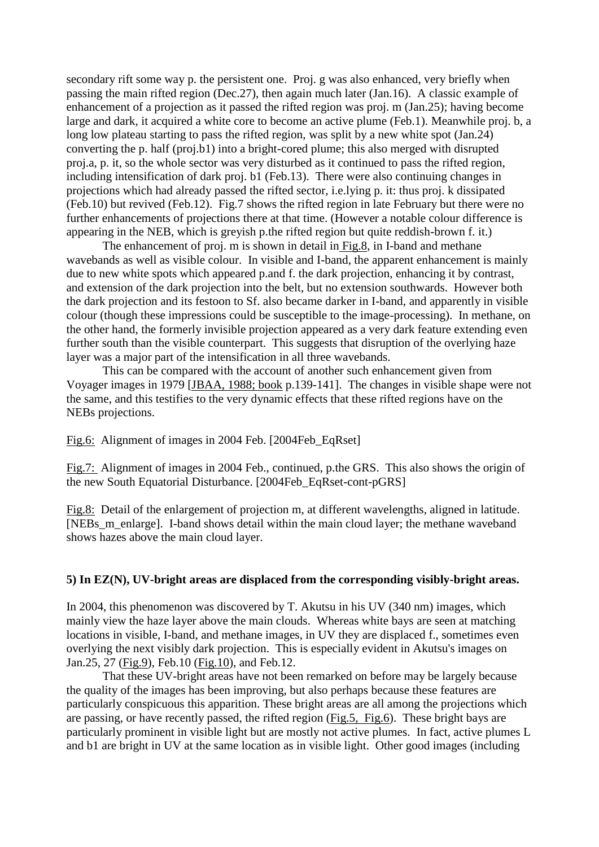secondary rift some way p. the persistent one. Proj. g was also enhanced, very briefly when passing the main rifted region (Dec.27), then again much later (Jan.16). A classic example of enhancement of a projection as it passed the rifted region was proj. m (Jan.25); having become large and dark, it acquired a white core to become an active plume (Feb.1). Meanwhile proj. b, a long low plateau starting to pass the rifted region, was split by a new white spot (Jan.24) converting the p. half (proj.b1) into a bright-cored plume; this also merged with disrupted proj.a, p. it, so the whole sector was very disturbed as it continued to pass the rifted region, including intensification of dark proj. b1 (Feb.13). There were also continuing changes in projections which had already passed the rifted sector, i.e.lying p. it: thus proj. k dissipated (Feb.10) but revived (Feb.12). Fig.7 shows the rifted region in late February but there were no further enhancements of projections there at that time. (However a notable colour difference is appearing in the NEB, which is greyish p.the rifted region but quite reddish-brown f. it.)

The enhancement of proj. m is shown in detail in Fig.8, in I-band and methane wavebands as well as visible colour. In visible and I-band, the apparent enhancement is mainly due to new white spots which appeared p.and f. the dark projection, enhancing it by contrast, and extension of the dark projection into the belt, but no extension southwards. However both the dark projection and its festoon to Sf. also became darker in I-band, and apparently in visible colour (though these impressions could be susceptible to the image-processing). In methane, on the other hand, the formerly invisible projection appeared as a very dark feature extending even further south than the visible counterpart. This suggests that disruption of the overlying haze layer was a major part of the intensification in all three wavebands.

This can be compared with the account of another such enhancement given from Voyager images in 1979 [JBAA, 1988; book p.139-141]. The changes in visible shape were not the same, and this testifies to the very dynamic effects that these rifted regions have on the NEBs projections.

Fig.6: Alignment of images in 2004 Feb. [2004Feb\_EqRset]

Fig.7: Alignment of images in 2004 Feb., continued, p.the GRS. This also shows the origin of the new South Equatorial Disturbance. [2004Feb\_EqRset-cont-pGRS]

Fig.8: Detail of the enlargement of projection m, at different wavelengths, aligned in latitude. [NEBs\_m\_enlarge]. I-band shows detail within the main cloud layer; the methane waveband shows hazes above the main cloud layer.

#### **5) In EZ(N), UV-bright areas are displaced from the corresponding visibly-bright areas.**

In 2004, this phenomenon was discovered by T. Akutsu in his UV (340 nm) images, which mainly view the haze layer above the main clouds. Whereas white bays are seen at matching locations in visible, I-band, and methane images, in UV they are displaced f., sometimes even overlying the next visibly dark projection. This is especially evident in Akutsu's images on Jan.25, 27 (Fig.9), Feb.10 (Fig.10), and Feb.12.

That these UV-bright areas have not been remarked on before may be largely because the quality of the images has been improving, but also perhaps because these features are particularly conspicuous this apparition. These bright areas are all among the projections which are passing, or have recently passed, the rifted region (Fig.5, Fig.6). These bright bays are particularly prominent in visible light but are mostly not active plumes. In fact, active plumes L and b1 are bright in UV at the same location as in visible light. Other good images (including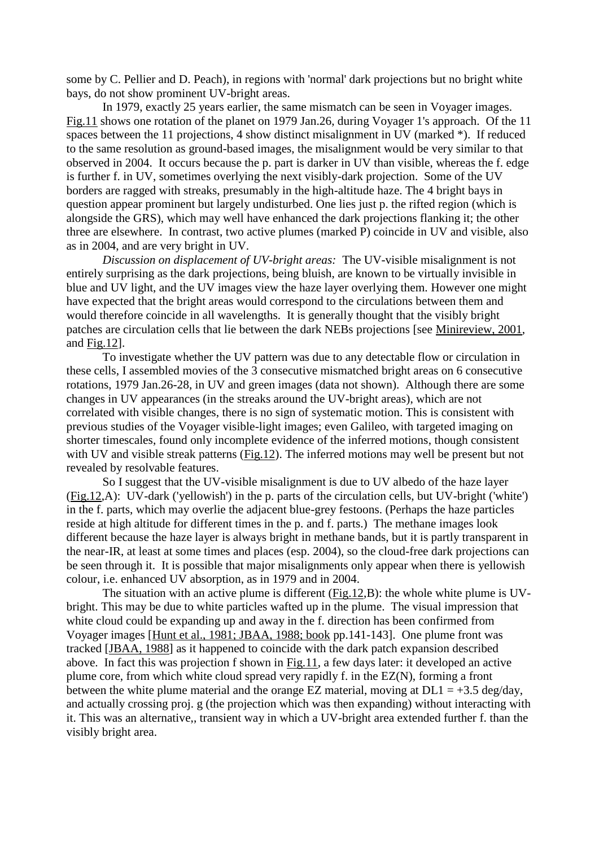some by C. Pellier and D. Peach), in regions with 'normal' dark projections but no bright white bays, do not show prominent UV-bright areas.

In 1979, exactly 25 years earlier, the same mismatch can be seen in Voyager images. Fig.11 shows one rotation of the planet on 1979 Jan.26, during Voyager 1's approach. Of the 11 spaces between the 11 projections, 4 show distinct misalignment in UV (marked \*). If reduced to the same resolution as ground-based images, the misalignment would be very similar to that observed in 2004. It occurs because the p. part is darker in UV than visible, whereas the f. edge is further f. in UV, sometimes overlying the next visibly-dark projection. Some of the UV borders are ragged with streaks, presumably in the high-altitude haze. The 4 bright bays in question appear prominent but largely undisturbed. One lies just p. the rifted region (which is alongside the GRS), which may well have enhanced the dark projections flanking it; the other three are elsewhere. In contrast, two active plumes (marked P) coincide in UV and visible, also as in 2004, and are very bright in UV.

*Discussion on displacement of UV-bright areas:* The UV-visible misalignment is not entirely surprising as the dark projections, being bluish, are known to be virtually invisible in blue and UV light, and the UV images view the haze layer overlying them. However one might have expected that the bright areas would correspond to the circulations between them and would therefore coincide in all wavelengths. It is generally thought that the visibly bright patches are circulation cells that lie between the dark NEBs projections [see Minireview, 2001, and Fig.12].

To investigate whether the UV pattern was due to any detectable flow or circulation in these cells, I assembled movies of the 3 consecutive mismatched bright areas on 6 consecutive rotations, 1979 Jan.26-28, in UV and green images (data not shown). Although there are some changes in UV appearances (in the streaks around the UV-bright areas), which are not correlated with visible changes, there is no sign of systematic motion. This is consistent with previous studies of the Voyager visible-light images; even Galileo, with targeted imaging on shorter timescales, found only incomplete evidence of the inferred motions, though consistent with UV and visible streak patterns (Fig.12). The inferred motions may well be present but not revealed by resolvable features.

So I suggest that the UV-visible misalignment is due to UV albedo of the haze layer (Fig.12,A): UV-dark ('yellowish') in the p. parts of the circulation cells, but UV-bright ('white') in the f. parts, which may overlie the adjacent blue-grey festoons. (Perhaps the haze particles reside at high altitude for different times in the p. and f. parts.) The methane images look different because the haze layer is always bright in methane bands, but it is partly transparent in the near-IR, at least at some times and places (esp. 2004), so the cloud-free dark projections can be seen through it. It is possible that major misalignments only appear when there is yellowish colour, i.e. enhanced UV absorption, as in 1979 and in 2004.

The situation with an active plume is different (Fig.12,B): the whole white plume is UVbright. This may be due to white particles wafted up in the plume. The visual impression that white cloud could be expanding up and away in the f. direction has been confirmed from Voyager images [Hunt et al., 1981; JBAA, 1988; book pp.141-143]. One plume front was tracked [JBAA, 1988] as it happened to coincide with the dark patch expansion described above. In fact this was projection f shown in Fig.11, a few days later: it developed an active plume core, from which white cloud spread very rapidly f. in the EZ(N), forming a front between the white plume material and the orange EZ material, moving at  $DL1 = +3.5$  deg/day, and actually crossing proj. g (the projection which was then expanding) without interacting with it. This was an alternative,, transient way in which a UV-bright area extended further f. than the visibly bright area.